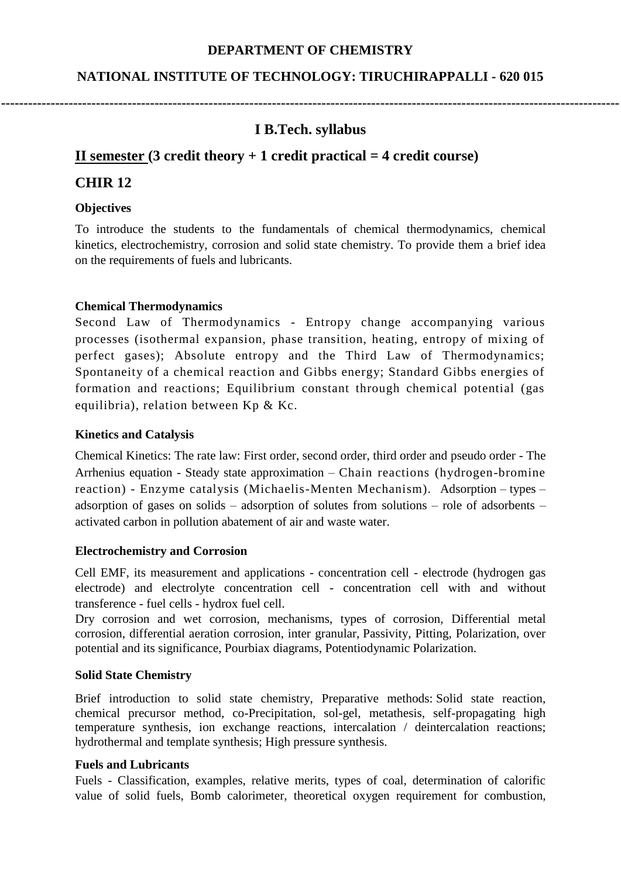### **DEPARTMENT OF CHEMISTRY**

### **NATIONAL INSTITUTE OF TECHNOLOGY: TIRUCHIRAPPALLI - 620 015**

# **I B.Tech. syllabus**

**-----------------------------------------------------------------------------------------------------------------------------------------**

## **II semester (3 credit theory + 1 credit practical = 4 credit course)**

### **CHIR 12**

#### **Objectives**

To introduce the students to the fundamentals of chemical thermodynamics, chemical kinetics, electrochemistry, corrosion and solid state chemistry. To provide them a brief idea on the requirements of fuels and lubricants.

### **Chemical Thermodynamics**

Second Law of Thermodynamics - Entropy change accompanying various processes (isothermal expansion, phase transition, heating, entropy of mixing of perfect gases); Absolute entropy and the Third Law of Thermodynamics; Spontaneity of a chemical reaction and Gibbs energy; Standard Gibbs energies of formation and reactions; Equilibrium constant through chemical potential (gas equilibria), relation between Kp & Kc.

### **Kinetics and Catalysis**

Chemical Kinetics: The rate law: First order, second order, third order and pseudo order - The Arrhenius equation - Steady state approximation – Chain reactions (hydrogen-bromine reaction) - Enzyme catalysis (Michaelis-Menten Mechanism). Adsorption – types – adsorption of gases on solids – adsorption of solutes from solutions – role of adsorbents – activated carbon in pollution abatement of air and waste water.

### **Electrochemistry and Corrosion**

Cell EMF, its measurement and applications - concentration cell - electrode (hydrogen gas electrode) and electrolyte concentration cell - concentration cell with and without transference - fuel cells - hydrox fuel cell.

Dry corrosion and wet corrosion, mechanisms, types of corrosion, Differential metal corrosion, differential aeration corrosion, inter granular, Passivity, Pitting, Polarization, over potential and its significance, Pourbiax diagrams, Potentiodynamic Polarization.

#### **Solid State Chemistry**

Brief introduction to solid state chemistry, Preparative methods: Solid state reaction, chemical precursor method, co-Precipitation, sol-gel, metathesis, self-propagating high temperature synthesis, ion exchange reactions, intercalation / deintercalation reactions; hydrothermal and template synthesis; High pressure synthesis.

#### **Fuels and Lubricants**

Fuels - Classification, examples, relative merits, types of coal, determination of calorific value of solid fuels, Bomb calorimeter, theoretical oxygen requirement for combustion,